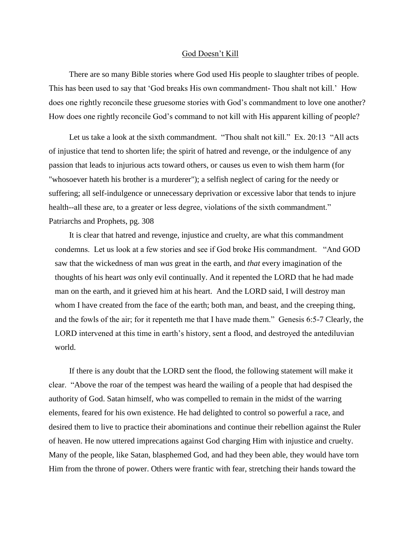## God Doesn't Kill

 There are so many Bible stories where God used His people to slaughter tribes of people. This has been used to say that 'God breaks His own commandment- Thou shalt not kill.' How does one rightly reconcile these gruesome stories with God's commandment to love one another? How does one rightly reconcile God's command to not kill with His apparent killing of people?

Let us take a look at the sixth commandment. "Thou shalt not kill." Ex. 20:13 "All acts of injustice that tend to shorten life; the spirit of hatred and revenge, or the indulgence of any passion that leads to injurious acts toward others, or causes us even to wish them harm (for "whosoever hateth his brother is a murderer"); a selfish neglect of caring for the needy or suffering; all self-indulgence or unnecessary deprivation or excessive labor that tends to injure health--all these are, to a greater or less degree, violations of the sixth commandment." Patriarchs and Prophets, pg. 308

 It is clear that hatred and revenge, injustice and cruelty, are what this commandment condemns. Let us look at a few stories and see if God broke His commandment. "And GOD saw that the wickedness of man *was* great in the earth, and *that* every imagination of the thoughts of his heart *was* only evil continually. And it repented the LORD that he had made man on the earth, and it grieved him at his heart. And the LORD said, I will destroy man whom I have created from the face of the earth; both man, and beast, and the creeping thing, and the fowls of the air; for it repenteth me that I have made them." Genesis 6:5-7 Clearly, the LORD intervened at this time in earth's history, sent a flood, and destroyed the antediluvian world.

 If there is any doubt that the LORD sent the flood, the following statement will make it clear. "Above the roar of the tempest was heard the wailing of a people that had despised the authority of God. Satan himself, who was compelled to remain in the midst of the warring elements, feared for his own existence. He had delighted to control so powerful a race, and desired them to live to practice their abominations and continue their rebellion against the Ruler of heaven. He now uttered imprecations against God charging Him with injustice and cruelty. Many of the people, like Satan, blasphemed God, and had they been able, they would have torn Him from the throne of power. Others were frantic with fear, stretching their hands toward the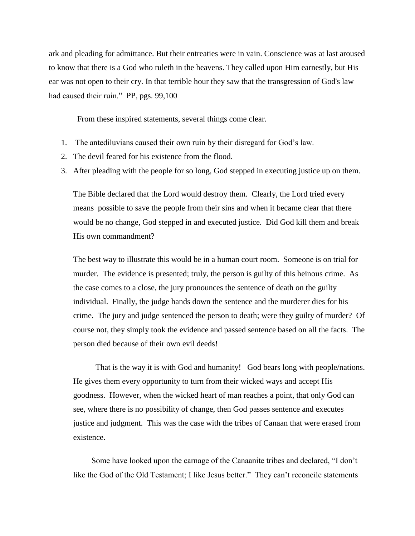ark and pleading for admittance. But their entreaties were in vain. Conscience was at last aroused to know that there is a God who ruleth in the heavens. They called upon Him earnestly, but His ear was not open to their cry. In that terrible hour they saw that the transgression of God's law had caused their ruin." PP, pgs. 99,100

From these inspired statements, several things come clear.

- 1. The antediluvians caused their own ruin by their disregard for God's law.
- 2. The devil feared for his existence from the flood.
- 3. After pleading with the people for so long, God stepped in executing justice up on them.

The Bible declared that the Lord would destroy them. Clearly, the Lord tried every means possible to save the people from their sins and when it became clear that there would be no change, God stepped in and executed justice. Did God kill them and break His own commandment?

The best way to illustrate this would be in a human court room. Someone is on trial for murder. The evidence is presented; truly, the person is guilty of this heinous crime. As the case comes to a close, the jury pronounces the sentence of death on the guilty individual. Finally, the judge hands down the sentence and the murderer dies for his crime. The jury and judge sentenced the person to death; were they guilty of murder? Of course not, they simply took the evidence and passed sentence based on all the facts. The person died because of their own evil deeds!

 That is the way it is with God and humanity! God bears long with people/nations. He gives them every opportunity to turn from their wicked ways and accept His goodness. However, when the wicked heart of man reaches a point, that only God can see, where there is no possibility of change, then God passes sentence and executes justice and judgment. This was the case with the tribes of Canaan that were erased from existence.

 Some have looked upon the carnage of the Canaanite tribes and declared, "I don't like the God of the Old Testament; I like Jesus better." They can't reconcile statements